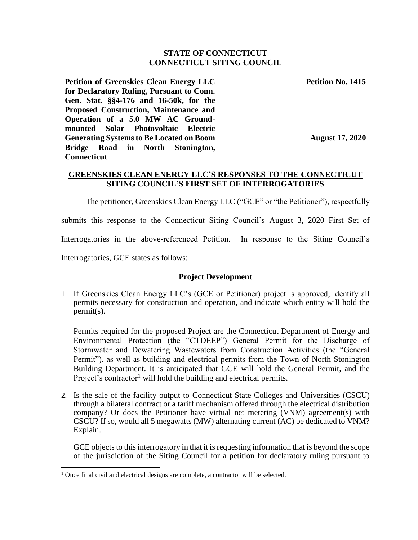#### **STATE OF CONNECTICUT CONNECTICUT SITING COUNCIL**

**Petition of Greenskies Clean Energy LLC for Declaratory Ruling, Pursuant to Conn. Gen. Stat. §§4-176 and 16-50k, for the Proposed Construction, Maintenance and Operation of a 5.0 MW AC Groundmounted Solar Photovoltaic Electric Generating Systems to Be Located on Boom Bridge Road in North Stonington, Connecticut**

**Petition No. 1415**

**August 17, 2020**

# **GREENSKIES CLEAN ENERGY LLC'S RESPONSES TO THE CONNECTICUT SITING COUNCIL'S FIRST SET OF INTERROGATORIES**

The petitioner, Greenskies Clean Energy LLC ("GCE" or "the Petitioner"), respectfully

submits this response to the Connecticut Siting Council's August 3, 2020 First Set of

Interrogatories in the above-referenced Petition. In response to the Siting Council's

Interrogatories, GCE states as follows:

l

#### **Project Development**

1. If Greenskies Clean Energy LLC's (GCE or Petitioner) project is approved, identify all permits necessary for construction and operation, and indicate which entity will hold the permit(s).

Permits required for the proposed Project are the Connecticut Department of Energy and Environmental Protection (the "CTDEEP") General Permit for the Discharge of Stormwater and Dewatering Wastewaters from Construction Activities (the "General Permit"), as well as building and electrical permits from the Town of North Stonington Building Department. It is anticipated that GCE will hold the General Permit, and the Project's contractor<sup>1</sup> will hold the building and electrical permits.

2. Is the sale of the facility output to Connecticut State Colleges and Universities (CSCU) through a bilateral contract or a tariff mechanism offered through the electrical distribution company? Or does the Petitioner have virtual net metering (VNM) agreement(s) with CSCU? If so, would all 5 megawatts (MW) alternating current (AC) be dedicated to VNM? Explain.

GCE objects to this interrogatory in that it is requesting information that is beyond the scope of the jurisdiction of the Siting Council for a petition for declaratory ruling pursuant to

<sup>&</sup>lt;sup>1</sup> Once final civil and electrical designs are complete, a contractor will be selected.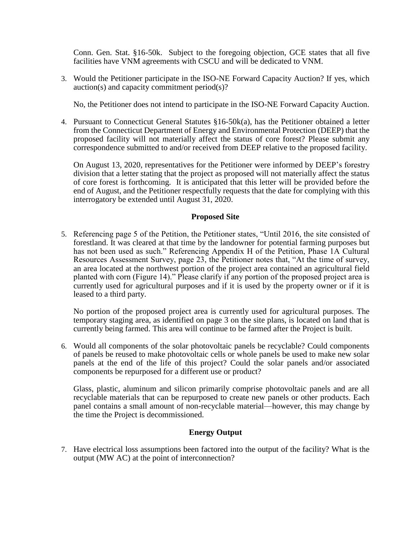Conn. Gen. Stat. §16-50k. Subject to the foregoing objection, GCE states that all five facilities have VNM agreements with CSCU and will be dedicated to VNM.

3. Would the Petitioner participate in the ISO-NE Forward Capacity Auction? If yes, which auction(s) and capacity commitment period(s)?

No, the Petitioner does not intend to participate in the ISO-NE Forward Capacity Auction.

4. Pursuant to Connecticut General Statutes §16-50k(a), has the Petitioner obtained a letter from the Connecticut Department of Energy and Environmental Protection (DEEP) that the proposed facility will not materially affect the status of core forest? Please submit any correspondence submitted to and/or received from DEEP relative to the proposed facility.

On August 13, 2020, representatives for the Petitioner were informed by DEEP's forestry division that a letter stating that the project as proposed will not materially affect the status of core forest is forthcoming. It is anticipated that this letter will be provided before the end of August, and the Petitioner respectfully requests that the date for complying with this interrogatory be extended until August 31, 2020.

#### **Proposed Site**

5. Referencing page 5 of the Petition, the Petitioner states, "Until 2016, the site consisted of forestland. It was cleared at that time by the landowner for potential farming purposes but has not been used as such." Referencing Appendix H of the Petition, Phase 1A Cultural Resources Assessment Survey, page 23, the Petitioner notes that, "At the time of survey, an area located at the northwest portion of the project area contained an agricultural field planted with corn (Figure 14)." Please clarify if any portion of the proposed project area is currently used for agricultural purposes and if it is used by the property owner or if it is leased to a third party.

No portion of the proposed project area is currently used for agricultural purposes. The temporary staging area, as identified on page 3 on the site plans, is located on land that is currently being farmed. This area will continue to be farmed after the Project is built.

6. Would all components of the solar photovoltaic panels be recyclable? Could components of panels be reused to make photovoltaic cells or whole panels be used to make new solar panels at the end of the life of this project? Could the solar panels and/or associated components be repurposed for a different use or product?

Glass, plastic, aluminum and silicon primarily comprise photovoltaic panels and are all recyclable materials that can be repurposed to create new panels or other products. Each panel contains a small amount of non-recyclable material—however, this may change by the time the Project is decommissioned.

## **Energy Output**

7. Have electrical loss assumptions been factored into the output of the facility? What is the output (MW AC) at the point of interconnection?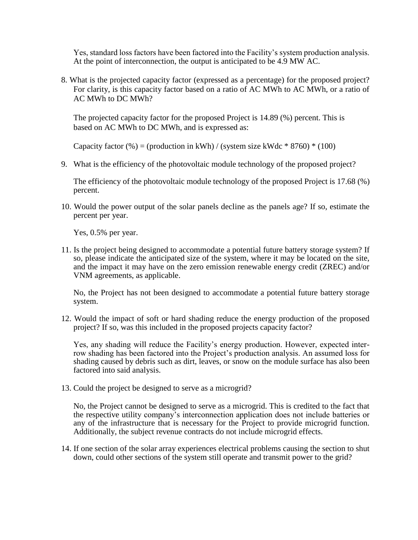Yes, standard loss factors have been factored into the Facility's system production analysis. At the point of interconnection, the output is anticipated to be 4.9 MW AC.

8. What is the projected capacity factor (expressed as a percentage) for the proposed project? For clarity, is this capacity factor based on a ratio of AC MWh to AC MWh, or a ratio of AC MWh to DC MWh?

The projected capacity factor for the proposed Project is 14.89 (%) percent. This is based on AC MWh to DC MWh, and is expressed as:

Capacity factor  $(\%)$  = (production in kWh) / (system size kWdc  $*$  8760)  $*$  (100)

9. What is the efficiency of the photovoltaic module technology of the proposed project?

The efficiency of the photovoltaic module technology of the proposed Project is 17.68 (%) percent.

10. Would the power output of the solar panels decline as the panels age? If so, estimate the percent per year.

Yes, 0.5% per year.

11. Is the project being designed to accommodate a potential future battery storage system? If so, please indicate the anticipated size of the system, where it may be located on the site, and the impact it may have on the zero emission renewable energy credit (ZREC) and/or VNM agreements, as applicable.

No, the Project has not been designed to accommodate a potential future battery storage system.

12. Would the impact of soft or hard shading reduce the energy production of the proposed project? If so, was this included in the proposed projects capacity factor?

Yes, any shading will reduce the Facility's energy production. However, expected interrow shading has been factored into the Project's production analysis. An assumed loss for shading caused by debris such as dirt, leaves, or snow on the module surface has also been factored into said analysis.

13. Could the project be designed to serve as a microgrid?

No, the Project cannot be designed to serve as a microgrid. This is credited to the fact that the respective utility company's interconnection application does not include batteries or any of the infrastructure that is necessary for the Project to provide microgrid function. Additionally, the subject revenue contracts do not include microgrid effects.

14. If one section of the solar array experiences electrical problems causing the section to shut down, could other sections of the system still operate and transmit power to the grid?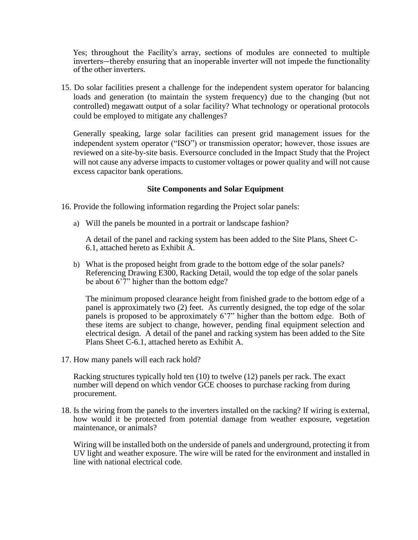Yes; throughout the Facility's array, sections of modules are connected to multiple inverters—thereby ensuring that an inoperable inverter will not impede the functionality of the other inverters.

15. Do solar facilities present a challenge for the independent system operator for balancing loads and generation (to maintain the system frequency) due to the changing (but not controlled) megawatt output of a solar facility? What technology or operational protocols could be employed to mitigate any challenges?

Generally speaking, large solar facilities can present grid management issues for the independent system operator ("ISO") or transmission operator; however, those issues are reviewed on a site-by-site basis. Eversource concluded in the Impact Study that the Project will not cause any adverse impacts to customer voltages or power quality and will not cause excess capacitor bank operations.

#### **Site Components and Solar Equipment**

16. Provide the following information regarding the Project solar panels:

a) Will the panels be mounted in a portrait or landscape fashion?

A detail of the panel and racking system has been added to the Site Plans, Sheet C-6.1, attached hereto as Exhibit A.

b) What is the proposed height from grade to the bottom edge of the solar panels? Referencing Drawing E300, Racking Detail, would the top edge of the solar panels be about 6'7" higher than the bottom edge?

The minimum proposed clearance height from finished grade to the bottom edge of a panel is approximately two (2) feet. As currently designed, the top edge of the solar panels is proposed to be approximately 6'7" higher than the bottom edge. Both of these items are subject to change, however, pending final equipment selection and electrical design. A detail of the panel and racking system has been added to the Site Plans Sheet C-6.1, attached hereto as Exhibit A.

17. How many panels will each rack hold?

Racking structures typically hold ten (10) to twelve (12) panels per rack. The exact number will depend on which vendor GCE chooses to purchase racking from during procurement.

18. Is the wiring from the panels to the inverters installed on the racking? If wiring is external, how would it be protected from potential damage from weather exposure, vegetation maintenance, or animals?

Wiring will be installed both on the underside of panels and underground, protecting it from UV light and weather exposure. The wire will be rated for the environment and installed in line with national electrical code.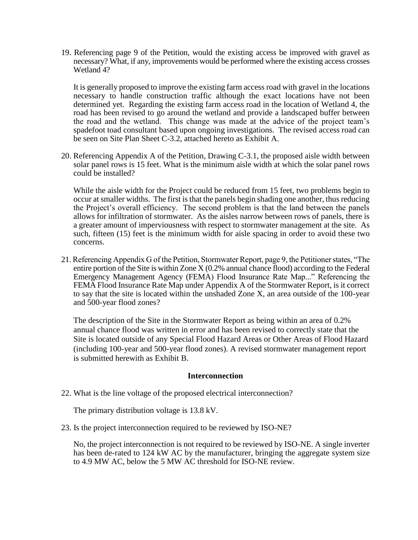19. Referencing page 9 of the Petition, would the existing access be improved with gravel as necessary? What, if any, improvements would be performed where the existing access crosses Wetland 4?

It is generally proposed to improve the existing farm access road with gravel in the locations necessary to handle construction traffic although the exact locations have not been determined yet. Regarding the existing farm access road in the location of Wetland 4, the road has been revised to go around the wetland and provide a landscaped buffer between the road and the wetland. This change was made at the advice of the project team's spadefoot toad consultant based upon ongoing investigations. The revised access road can be seen on Site Plan Sheet C-3.2, attached hereto as Exhibit A.

20. Referencing Appendix A of the Petition, Drawing C-3.1, the proposed aisle width between solar panel rows is 15 feet. What is the minimum aisle width at which the solar panel rows could be installed?

While the aisle width for the Project could be reduced from 15 feet, two problems begin to occur at smaller widths. The first is that the panels begin shading one another, thus reducing the Project's overall efficiency. The second problem is that the land between the panels allows for infiltration of stormwater. As the aisles narrow between rows of panels, there is a greater amount of imperviousness with respect to stormwater management at the site. As such, fifteen (15) feet is the minimum width for aisle spacing in order to avoid these two concerns.

21. Referencing Appendix G of the Petition, Stormwater Report, page 9, the Petitioner states, "The entire portion of the Site is within Zone X (0.2% annual chance flood) according to the Federal Emergency Management Agency (FEMA) Flood Insurance Rate Map..." Referencing the FEMA Flood Insurance Rate Map under Appendix A of the Stormwater Report, is it correct to say that the site is located within the unshaded Zone X, an area outside of the 100-year and 500-year flood zones?

The description of the Site in the Stormwater Report as being within an area of 0.2% annual chance flood was written in error and has been revised to correctly state that the Site is located outside of any Special Flood Hazard Areas or Other Areas of Flood Hazard (including 100-year and 500-year flood zones). A revised stormwater management report is submitted herewith as Exhibit B.

#### **Interconnection**

22. What is the line voltage of the proposed electrical interconnection?

The primary distribution voltage is 13.8 kV.

23. Is the project interconnection required to be reviewed by ISO-NE?

No, the project interconnection is not required to be reviewed by ISO-NE. A single inverter has been de-rated to 124 kW AC by the manufacturer, bringing the aggregate system size to 4.9 MW AC, below the 5 MW AC threshold for ISO-NE review.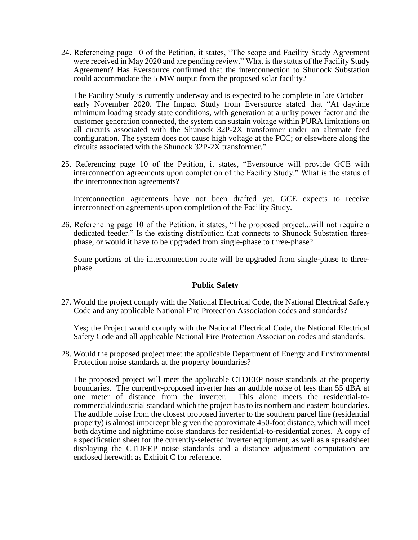24. Referencing page 10 of the Petition, it states, "The scope and Facility Study Agreement were received in May 2020 and are pending review." What is the status of the Facility Study Agreement? Has Eversource confirmed that the interconnection to Shunock Substation could accommodate the 5 MW output from the proposed solar facility?

The Facility Study is currently underway and is expected to be complete in late October – early November 2020. The Impact Study from Eversource stated that "At daytime minimum loading steady state conditions, with generation at a unity power factor and the customer generation connected, the system can sustain voltage within PURA limitations on all circuits associated with the Shunock 32P-2X transformer under an alternate feed configuration. The system does not cause high voltage at the PCC; or elsewhere along the circuits associated with the Shunock 32P-2X transformer."

25. Referencing page 10 of the Petition, it states, "Eversource will provide GCE with interconnection agreements upon completion of the Facility Study." What is the status of the interconnection agreements?

Interconnection agreements have not been drafted yet. GCE expects to receive interconnection agreements upon completion of the Facility Study.

26. Referencing page 10 of the Petition, it states, "The proposed project...will not require a dedicated feeder." Is the existing distribution that connects to Shunock Substation threephase, or would it have to be upgraded from single-phase to three-phase?

Some portions of the interconnection route will be upgraded from single-phase to threephase.

## **Public Safety**

27. Would the project comply with the National Electrical Code, the National Electrical Safety Code and any applicable National Fire Protection Association codes and standards?

Yes; the Project would comply with the National Electrical Code, the National Electrical Safety Code and all applicable National Fire Protection Association codes and standards.

28. Would the proposed project meet the applicable Department of Energy and Environmental Protection noise standards at the property boundaries?

The proposed project will meet the applicable CTDEEP noise standards at the property boundaries. The currently-proposed inverter has an audible noise of less than 55 dBA at one meter of distance from the inverter. This alone meets the residential-tocommercial/industrial standard which the project has to its northern and eastern boundaries. The audible noise from the closest proposed inverter to the southern parcel line (residential property) is almost imperceptible given the approximate 450-foot distance, which will meet both daytime and nighttime noise standards for residential-to-residential zones. A copy of a specification sheet for the currently-selected inverter equipment, as well as a spreadsheet displaying the CTDEEP noise standards and a distance adjustment computation are enclosed herewith as Exhibit C for reference.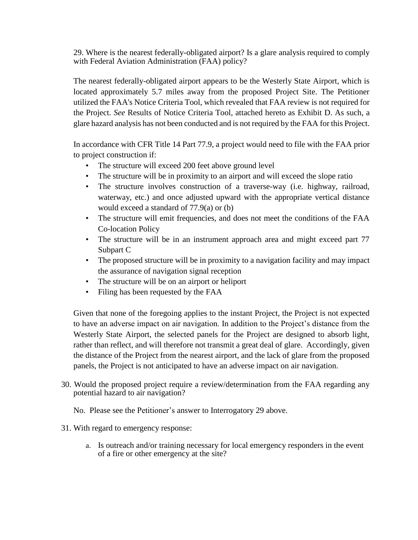29. Where is the nearest federally-obligated airport? Is a glare analysis required to comply with Federal Aviation Administration (FAA) policy?

The nearest federally-obligated airport appears to be the Westerly State Airport, which is located approximately 5.7 miles away from the proposed Project Site. The Petitioner utilized the FAA's Notice Criteria Tool, which revealed that FAA review is not required for the Project. *See* Results of Notice Criteria Tool, attached hereto as Exhibit D. As such, a glare hazard analysis has not been conducted and is not required by the FAA for this Project.

In accordance with CFR Title 14 Part 77.9, a project would need to file with the FAA prior to project construction if:

- The structure will exceed 200 feet above ground level
- The structure will be in proximity to an airport and will exceed the slope ratio
- The structure involves construction of a traverse-way (i.e. highway, railroad, waterway, etc.) and once adjusted upward with the appropriate vertical distance would exceed a standard of 77.9(a) or (b)
- The structure will emit frequencies, and does not meet the conditions of the FAA Co-location Policy
- The structure will be in an instrument approach area and might exceed part 77 Subpart C
- The proposed structure will be in proximity to a navigation facility and may impact the assurance of navigation signal reception
- The structure will be on an airport or heliport
- Filing has been requested by the FAA

Given that none of the foregoing applies to the instant Project, the Project is not expected to have an adverse impact on air navigation. In addition to the Project's distance from the Westerly State Airport, the selected panels for the Project are designed to absorb light, rather than reflect, and will therefore not transmit a great deal of glare. Accordingly, given the distance of the Project from the nearest airport, and the lack of glare from the proposed panels, the Project is not anticipated to have an adverse impact on air navigation.

30. Would the proposed project require a review/determination from the FAA regarding any potential hazard to air navigation?

No. Please see the Petitioner's answer to Interrogatory 29 above.

- 31. With regard to emergency response:
	- a. Is outreach and/or training necessary for local emergency responders in the event of a fire or other emergency at the site?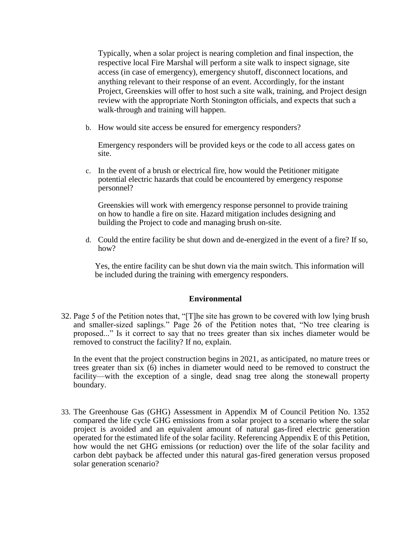Typically, when a solar project is nearing completion and final inspection, the respective local Fire Marshal will perform a site walk to inspect signage, site access (in case of emergency), emergency shutoff, disconnect locations, and anything relevant to their response of an event. Accordingly, for the instant Project, Greenskies will offer to host such a site walk, training, and Project design review with the appropriate North Stonington officials, and expects that such a walk-through and training will happen.

b. How would site access be ensured for emergency responders?

Emergency responders will be provided keys or the code to all access gates on site.

c. In the event of a brush or electrical fire, how would the Petitioner mitigate potential electric hazards that could be encountered by emergency response personnel?

Greenskies will work with emergency response personnel to provide training on how to handle a fire on site. Hazard mitigation includes designing and building the Project to code and managing brush on-site.

d. Could the entire facility be shut down and de-energized in the event of a fire? If so, how?

Yes, the entire facility can be shut down via the main switch. This information will be included during the training with emergency responders.

## **Environmental**

32. Page 5 of the Petition notes that, "[T]he site has grown to be covered with low lying brush and smaller-sized saplings." Page 26 of the Petition notes that, "No tree clearing is proposed..." Is it correct to say that no trees greater than six inches diameter would be removed to construct the facility? If no, explain.

In the event that the project construction begins in 2021, as anticipated, no mature trees or trees greater than six (6) inches in diameter would need to be removed to construct the facility—with the exception of a single, dead snag tree along the stonewall property boundary.

33. The Greenhouse Gas (GHG) Assessment in Appendix M of Council Petition No. 1352 compared the life cycle GHG emissions from a solar project to a scenario where the solar project is avoided and an equivalent amount of natural gas-fired electric generation operated for the estimated life of the solar facility. Referencing Appendix E of this Petition, how would the net GHG emissions (or reduction) over the life of the solar facility and carbon debt payback be affected under this natural gas-fired generation versus proposed solar generation scenario?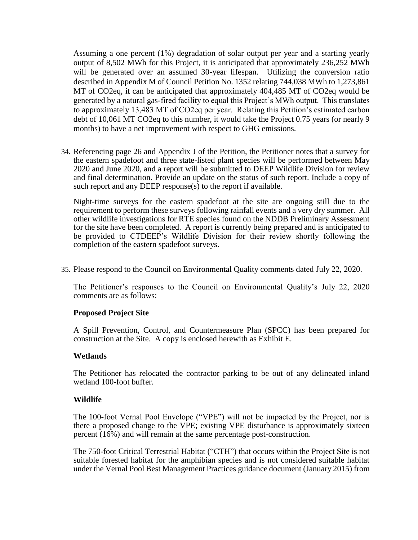Assuming a one percent (1%) degradation of solar output per year and a starting yearly output of 8,502 MWh for this Project, it is anticipated that approximately 236,252 MWh will be generated over an assumed 30-year lifespan. Utilizing the conversion ratio described in Appendix M of Council Petition No. 1352 relating 744,038 MWh to 1,273,861 MT of CO2eq, it can be anticipated that approximately 404,485 MT of CO2eq would be generated by a natural gas-fired facility to equal this Project's MWh output. This translates to approximately 13,483 MT of CO2eq per year. Relating this Petition's estimated carbon debt of 10,061 MT CO2eq to this number, it would take the Project 0.75 years (or nearly 9 months) to have a net improvement with respect to GHG emissions.

34. Referencing page 26 and Appendix J of the Petition, the Petitioner notes that a survey for the eastern spadefoot and three state-listed plant species will be performed between May 2020 and June 2020, and a report will be submitted to DEEP Wildlife Division for review and final determination. Provide an update on the status of such report. Include a copy of such report and any DEEP response(s) to the report if available.

Night-time surveys for the eastern spadefoot at the site are ongoing still due to the requirement to perform these surveys following rainfall events and a very dry summer. All other wildlife investigations for RTE species found on the NDDB Preliminary Assessment for the site have been completed. A report is currently being prepared and is anticipated to be provided to CTDEEP's Wildlife Division for their review shortly following the completion of the eastern spadefoot surveys.

35. Please respond to the Council on Environmental Quality comments dated July 22, 2020.

The Petitioner's responses to the Council on Environmental Quality's July 22, 2020 comments are as follows:

## **Proposed Project Site**

A Spill Prevention, Control, and Countermeasure Plan (SPCC) has been prepared for construction at the Site. A copy is enclosed herewith as Exhibit E.

#### **Wetlands**

The Petitioner has relocated the contractor parking to be out of any delineated inland wetland 100-foot buffer.

#### **Wildlife**

The 100-foot Vernal Pool Envelope ("VPE") will not be impacted by the Project, nor is there a proposed change to the VPE; existing VPE disturbance is approximately sixteen percent (16%) and will remain at the same percentage post-construction.

The 750-foot Critical Terrestrial Habitat ("CTH") that occurs within the Project Site is not suitable forested habitat for the amphibian species and is not considered suitable habitat under the Vernal Pool Best Management Practices guidance document (January 2015) from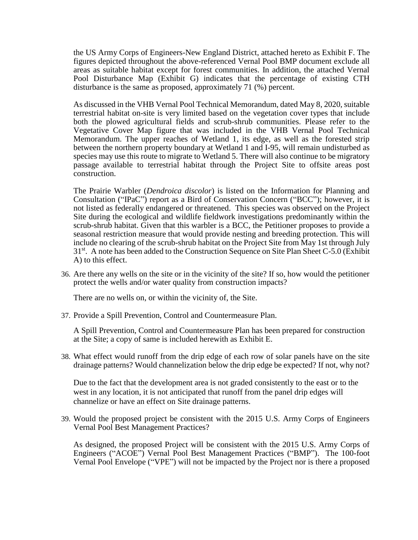the US Army Corps of Engineers-New England District, attached hereto as Exhibit F. The figures depicted throughout the above-referenced Vernal Pool BMP document exclude all areas as suitable habitat except for forest communities. In addition, the attached Vernal Pool Disturbance Map (Exhibit G) indicates that the percentage of existing CTH disturbance is the same as proposed, approximately 71 (%) percent.

As discussed in the VHB Vernal Pool Technical Memorandum, dated May 8, 2020, suitable terrestrial habitat on-site is very limited based on the vegetation cover types that include both the plowed agricultural fields and scrub-shrub communities. Please refer to the Vegetative Cover Map figure that was included in the VHB Vernal Pool Technical Memorandum. The upper reaches of Wetland 1, its edge, as well as the forested strip between the northern property boundary at Wetland 1 and I-95, will remain undisturbed as species may use this route to migrate to Wetland 5. There will also continue to be migratory passage available to terrestrial habitat through the Project Site to offsite areas post construction.

The Prairie Warbler (*Dendroica discolor*) is listed on the Information for Planning and Consultation ("IPaC") report as a Bird of Conservation Concern ("BCC"); however, it is not listed as federally endangered or threatened. This species was observed on the Project Site during the ecological and wildlife fieldwork investigations predominantly within the scrub-shrub habitat. Given that this warbler is a BCC, the Petitioner proposes to provide a seasonal restriction measure that would provide nesting and breeding protection. This will include no clearing of the scrub-shrub habitat on the Project Site from May 1st through July 31<sup>st</sup>. A note has been added to the Construction Sequence on Site Plan Sheet C-5.0 (Exhibit A) to this effect.

36. Are there any wells on the site or in the vicinity of the site? If so, how would the petitioner protect the wells and/or water quality from construction impacts?

There are no wells on, or within the vicinity of, the Site.

37. Provide a Spill Prevention, Control and Countermeasure Plan.

A Spill Prevention, Control and Countermeasure Plan has been prepared for construction at the Site; a copy of same is included herewith as Exhibit E.

38. What effect would runoff from the drip edge of each row of solar panels have on the site drainage patterns? Would channelization below the drip edge be expected? If not, why not?

Due to the fact that the development area is not graded consistently to the east or to the west in any location, it is not anticipated that runoff from the panel drip edges will channelize or have an effect on Site drainage patterns.

39. Would the proposed project be consistent with the 2015 U.S. Army Corps of Engineers Vernal Pool Best Management Practices?

As designed, the proposed Project will be consistent with the 2015 U.S. Army Corps of Engineers ("ACOE") Vernal Pool Best Management Practices ("BMP"). The 100-foot Vernal Pool Envelope ("VPE") will not be impacted by the Project nor is there a proposed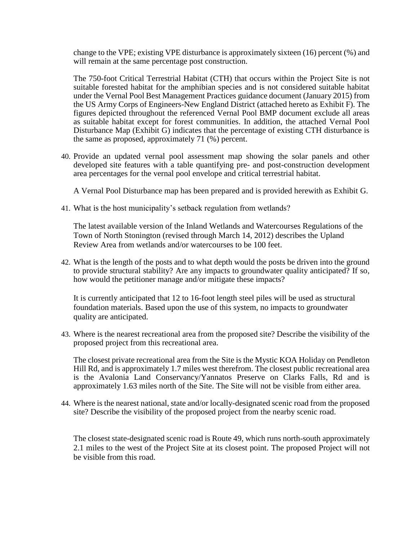change to the VPE; existing VPE disturbance is approximately sixteen (16) percent (%) and will remain at the same percentage post construction.

The 750-foot Critical Terrestrial Habitat (CTH) that occurs within the Project Site is not suitable forested habitat for the amphibian species and is not considered suitable habitat under the Vernal Pool Best Management Practices guidance document (January 2015) from the US Army Corps of Engineers-New England District (attached hereto as Exhibit F). The figures depicted throughout the referenced Vernal Pool BMP document exclude all areas as suitable habitat except for forest communities. In addition, the attached Vernal Pool Disturbance Map (Exhibit G) indicates that the percentage of existing CTH disturbance is the same as proposed, approximately 71 (%) percent.

40. Provide an updated vernal pool assessment map showing the solar panels and other developed site features with a table quantifying pre- and post-construction development area percentages for the vernal pool envelope and critical terrestrial habitat.

A Vernal Pool Disturbance map has been prepared and is provided herewith as Exhibit G.

41. What is the host municipality's setback regulation from wetlands?

The latest available version of the Inland Wetlands and Watercourses Regulations of the Town of North Stonington (revised through March 14, 2012) describes the Upland Review Area from wetlands and/or watercourses to be 100 feet.

42. What is the length of the posts and to what depth would the posts be driven into the ground to provide structural stability? Are any impacts to groundwater quality anticipated? If so, how would the petitioner manage and/or mitigate these impacts?

It is currently anticipated that 12 to 16-foot length steel piles will be used as structural foundation materials. Based upon the use of this system, no impacts to groundwater quality are anticipated.

43. Where is the nearest recreational area from the proposed site? Describe the visibility of the proposed project from this recreational area.

The closest private recreational area from the Site is the Mystic KOA Holiday on Pendleton Hill Rd, and is approximately 1.7 miles west therefrom. The closest public recreational area is the Avalonia Land Conservancy/Yannatos Preserve on Clarks Falls, Rd and is approximately 1.63 miles north of the Site. The Site will not be visible from either area.

44. Where is the nearest national, state and/or locally-designated scenic road from the proposed site? Describe the visibility of the proposed project from the nearby scenic road.

The closest state-designated scenic road is Route 49, which runs north-south approximately 2.1 miles to the west of the Project Site at its closest point. The proposed Project will not be visible from this road.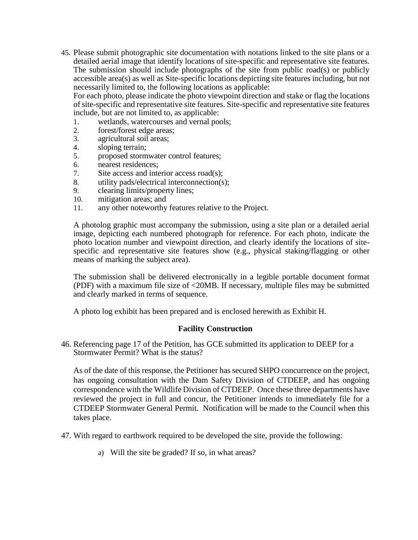45. Please submit photographic site documentation with notations linked to the site plans or a detailed aerial image that identify locations of site-specific and representative site features. The submission should include photographs of the site from public road(s) or publicly accessible area(s) as well as Site-specific locations depicting site features including, but not necessarily limited to, the following locations as applicable:

For each photo, please indicate the photo viewpoint direction and stake or flag the locations of site-specific and representative site features. Site-specific and representative site features include, but are not limited to, as applicable:

- 1. wetlands, watercourses and vernal pools;
- 2. forest/forest edge areas;
- 3. agricultural soil areas;
- 4. sloping terrain;
- 5. proposed stormwater control features;
- 6. nearest residences;
- 7. Site access and interior access road(s);
- 8. utility pads/electrical interconnection(s);
- 9. clearing limits/property lines;
- 10. mitigation areas; and
- 11. any other noteworthy features relative to the Project.

A photolog graphic must accompany the submission, using a site plan or a detailed aerial image, depicting each numbered photograph for reference. For each photo, indicate the photo location number and viewpoint direction, and clearly identify the locations of sitespecific and representative site features show (e.g., physical staking/flagging or other means of marking the subject area).

The submission shall be delivered electronically in a legible portable document format (PDF) with a maximum file size of <20MB. If necessary, multiple files may be submitted and clearly marked in terms of sequence.

A photo log exhibit has been prepared and is enclosed herewith as Exhibit H.

# **Facility Construction**

46. Referencing page 17 of the Petition, has GCE submitted its application to DEEP for a Stormwater Permit? What is the status?

As of the date of this response, the Petitioner has secured SHPO concurrence on the project, has ongoing consultation with the Dam Safety Division of CTDEEP, and has ongoing correspondence with the Wildlife Division of CTDEEP. Once these three departments have reviewed the project in full and concur, the Petitioner intends to immediately file for a CTDEEP Stormwater General Permit. Notification will be made to the Council when this takes place.

- 47. With regard to earthwork required to be developed the site, provide the following:
	- a) Will the site be graded? If so, in what areas?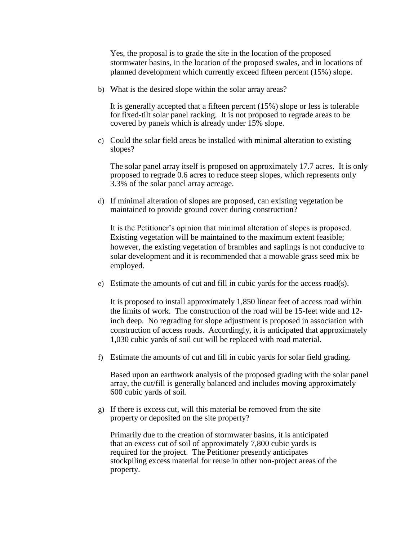Yes, the proposal is to grade the site in the location of the proposed stormwater basins, in the location of the proposed swales, and in locations of planned development which currently exceed fifteen percent (15%) slope.

b) What is the desired slope within the solar array areas?

It is generally accepted that a fifteen percent (15%) slope or less is tolerable for fixed-tilt solar panel racking. It is not proposed to regrade areas to be covered by panels which is already under 15% slope.

c) Could the solar field areas be installed with minimal alteration to existing slopes?

The solar panel array itself is proposed on approximately 17.7 acres. It is only proposed to regrade 0.6 acres to reduce steep slopes, which represents only 3.3% of the solar panel array acreage.

d) If minimal alteration of slopes are proposed, can existing vegetation be maintained to provide ground cover during construction?

It is the Petitioner's opinion that minimal alteration of slopes is proposed. Existing vegetation will be maintained to the maximum extent feasible; however, the existing vegetation of brambles and saplings is not conducive to solar development and it is recommended that a mowable grass seed mix be employed.

e) Estimate the amounts of cut and fill in cubic yards for the access road(s).

It is proposed to install approximately 1,850 linear feet of access road within the limits of work. The construction of the road will be 15-feet wide and 12 inch deep. No regrading for slope adjustment is proposed in association with construction of access roads. Accordingly, it is anticipated that approximately 1,030 cubic yards of soil cut will be replaced with road material.

f) Estimate the amounts of cut and fill in cubic yards for solar field grading.

Based upon an earthwork analysis of the proposed grading with the solar panel array, the cut/fill is generally balanced and includes moving approximately 600 cubic yards of soil*.*

g) If there is excess cut, will this material be removed from the site property or deposited on the site property?

Primarily due to the creation of stormwater basins, it is anticipated that an excess cut of soil of approximately 7,800 cubic yards is required for the project. The Petitioner presently anticipates stockpiling excess material for reuse in other non-project areas of the property.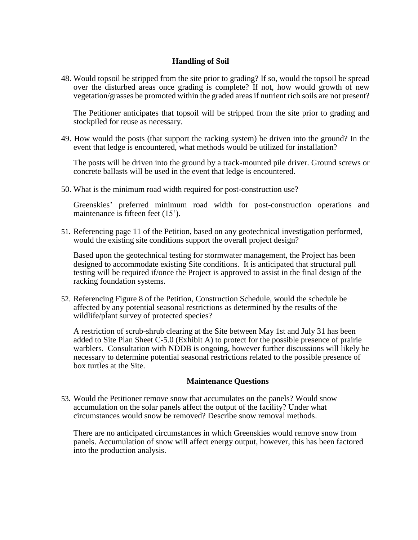# **Handling of Soil**

48. Would topsoil be stripped from the site prior to grading? If so, would the topsoil be spread over the disturbed areas once grading is complete? If not, how would growth of new vegetation/grasses be promoted within the graded areas if nutrient rich soils are not present?

The Petitioner anticipates that topsoil will be stripped from the site prior to grading and stockpiled for reuse as necessary.

49. How would the posts (that support the racking system) be driven into the ground? In the event that ledge is encountered, what methods would be utilized for installation?

The posts will be driven into the ground by a track-mounted pile driver. Ground screws or concrete ballasts will be used in the event that ledge is encountered.

50. What is the minimum road width required for post-construction use?

Greenskies' preferred minimum road width for post-construction operations and maintenance is fifteen feet (15').

51. Referencing page 11 of the Petition, based on any geotechnical investigation performed, would the existing site conditions support the overall project design?

Based upon the geotechnical testing for stormwater management, the Project has been designed to accommodate existing Site conditions. It is anticipated that structural pull testing will be required if/once the Project is approved to assist in the final design of the racking foundation systems.

52. Referencing Figure 8 of the Petition, Construction Schedule, would the schedule be affected by any potential seasonal restrictions as determined by the results of the wildlife/plant survey of protected species?

A restriction of scrub-shrub clearing at the Site between May 1st and July 31 has been added to Site Plan Sheet C-5.0 (Exhibit A) to protect for the possible presence of prairie warblers. Consultation with NDDB is ongoing, however further discussions will likely be necessary to determine potential seasonal restrictions related to the possible presence of box turtles at the Site.

## **Maintenance Questions**

53. Would the Petitioner remove snow that accumulates on the panels? Would snow accumulation on the solar panels affect the output of the facility? Under what circumstances would snow be removed? Describe snow removal methods.

There are no anticipated circumstances in which Greenskies would remove snow from panels. Accumulation of snow will affect energy output, however, this has been factored into the production analysis.